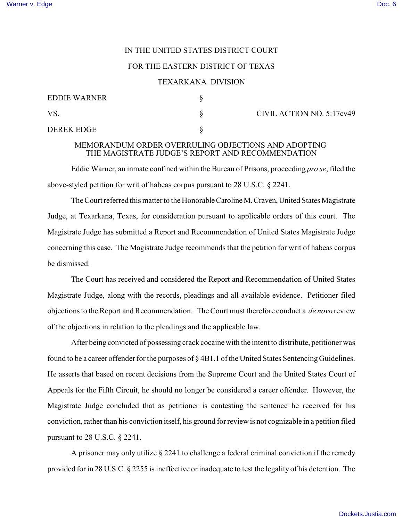# IN THE UNITED STATES DISTRICT COURT

### FOR THE EASTERN DISTRICT OF TEXAS

#### TEXARKANA DIVISION

| <b>EDDIE WARNER</b> |  |
|---------------------|--|
| VS.                 |  |
| DEREK EDGE          |  |

 $\S$  CIVIL ACTION NO. 5:17cv49

# MEMORANDUM ORDER OVERRULING OBJECTIONS AND ADOPTING THE MAGISTRATE JUDGE'S REPORT AND RECOMMENDATION

Eddie Warner, an inmate confined within the Bureau of Prisons, proceeding *pro se*, filed the above-styled petition for writ of habeas corpus pursuant to 28 U.S.C. § 2241.

The Court referred this matter to the HonorableCarolineM.Craven,United States Magistrate Judge, at Texarkana, Texas, for consideration pursuant to applicable orders of this court. The Magistrate Judge has submitted a Report and Recommendation of United States Magistrate Judge concerning this case. The Magistrate Judge recommends that the petition for writ of habeas corpus be dismissed.

The Court has received and considered the Report and Recommendation of United States Magistrate Judge, along with the records, pleadings and all available evidence. Petitioner filed objections to the Report and Recommendation. The Court must therefore conduct a *de novo* review of the objections in relation to the pleadings and the applicable law.

After being convicted of possessing crack cocaine with the intent to distribute, petitioner was found to be a career offender for the purposes of § 4B1.1 of the United States Sentencing Guidelines. He asserts that based on recent decisions from the Supreme Court and the United States Court of Appeals for the Fifth Circuit, he should no longer be considered a career offender. However, the Magistrate Judge concluded that as petitioner is contesting the sentence he received for his conviction, rather than his conviction itself, his ground for review is not cognizable in a petition filed pursuant to 28 U.S.C. § 2241.

A prisoner may only utilize  $\S 2241$  to challenge a federal criminal conviction if the remedy provided for in 28 U.S.C. § 2255 is ineffective or inadequate to test the legality of his detention. The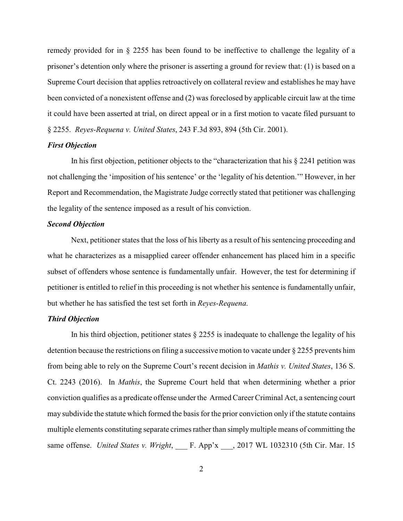remedy provided for in § 2255 has been found to be ineffective to challenge the legality of a prisoner's detention only where the prisoner is asserting a ground for review that: (1) is based on a Supreme Court decision that applies retroactively on collateral review and establishes he may have been convicted of a nonexistent offense and (2) was foreclosed by applicable circuit law at the time it could have been asserted at trial, on direct appeal or in a first motion to vacate filed pursuant to § 2255. *Reyes-Requena v. United States*, 243 F.3d 893, 894 (5th Cir. 2001).

### *First Objection*

In his first objection, petitioner objects to the "characterization that his § 2241 petition was not challenging the 'imposition of his sentence' or the 'legality of his detention.'" However, in her Report and Recommendation, the Magistrate Judge correctly stated that petitioner was challenging the legality of the sentence imposed as a result of his conviction.

### *Second Objection*

Next, petitioner states that the loss of his liberty as a result of his sentencing proceeding and what he characterizes as a misapplied career offender enhancement has placed him in a specific subset of offenders whose sentence is fundamentally unfair. However, the test for determining if petitioner is entitled to relief in this proceeding is not whether his sentence is fundamentally unfair, but whether he has satisfied the test set forth in *Reyes-Requena*.

# *Third Objection*

In his third objection, petitioner states § 2255 is inadequate to challenge the legality of his detention because the restrictions on filing a successive motion to vacate under § 2255 prevents him from being able to rely on the Supreme Court's recent decision in *Mathis v. United States*, 136 S. Ct. 2243 (2016). In *Mathis*, the Supreme Court held that when determining whether a prior conviction qualifies as a predicate offense under the Armed Career Criminal Act, a sentencing court may subdivide the statute which formed the basis for the prior conviction only if the statute contains multiple elements constituting separate crimes rather than simply multiple means of committing the same offense. *United States v. Wright*, \_\_\_ F. App'x \_\_\_, 2017 WL 1032310 (5th Cir. Mar. 15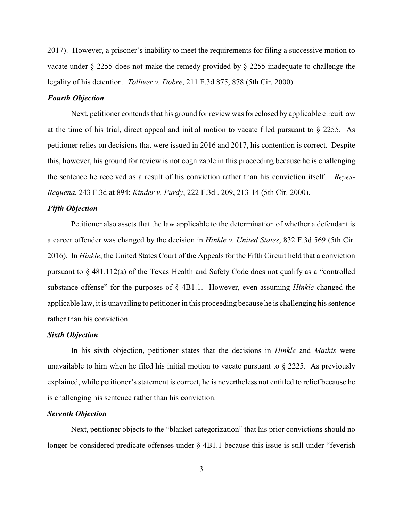2017). However, a prisoner's inability to meet the requirements for filing a successive motion to vacate under § 2255 does not make the remedy provided by § 2255 inadequate to challenge the legality of his detention. *Tolliver v. Dobre*, 211 F.3d 875, 878 (5th Cir. 2000).

# *Fourth Objection*

Next, petitioner contends that his ground for review was foreclosed by applicable circuit law at the time of his trial, direct appeal and initial motion to vacate filed pursuant to § 2255. As petitioner relies on decisions that were issued in 2016 and 2017, his contention is correct. Despite this, however, his ground for review is not cognizable in this proceeding because he is challenging the sentence he received as a result of his conviction rather than his conviction itself. *Reyes-Requena*, 243 F.3d at 894; *Kinder v. Purdy*, 222 F.3d . 209, 213-14 (5th Cir. 2000).

#### *Fifth Objection*

Petitioner also assets that the law applicable to the determination of whether a defendant is a career offender was changed by the decision in *Hinkle v. United States*, 832 F.3d 569 (5th Cir. 2016). In *Hinkle*, the United States Court of the Appeals for the Fifth Circuit held that a conviction pursuant to § 481.112(a) of the Texas Health and Safety Code does not qualify as a "controlled substance offense" for the purposes of § 4B1.1. However, even assuming *Hinkle* changed the applicable law, it is unavailing to petitioner in this proceeding because he is challenging his sentence rather than his conviction.

#### *Sixth Objection*

In his sixth objection, petitioner states that the decisions in *Hinkle* and *Mathis* were unavailable to him when he filed his initial motion to vacate pursuant to  $\S 2225$ . As previously explained, while petitioner's statement is correct, he is nevertheless not entitled to relief because he is challenging his sentence rather than his conviction.

# *Seventh Objection*

Next, petitioner objects to the "blanket categorization" that his prior convictions should no longer be considered predicate offenses under § 4B1.1 because this issue is still under "feverish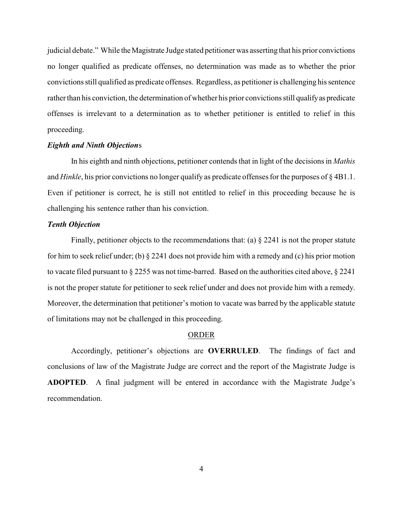judicial debate." While the Magistrate Judge stated petitioner was asserting that his prior convictions no longer qualified as predicate offenses, no determination was made as to whether the prior convictions still qualified as predicate offenses. Regardless, as petitioner is challenging his sentence rather than his conviction, the determination of whether his prior convictions still qualify as predicate offenses is irrelevant to a determination as to whether petitioner is entitled to relief in this proceeding.

# *Eighth and Ninth Objection*s

In his eighth and ninth objections, petitioner contends that in light of the decisions in *Mathis* and *Hinkle*, his prior convictions no longer qualify as predicate offenses for the purposes of § 4B1.1. Even if petitioner is correct, he is still not entitled to relief in this proceeding because he is challenging his sentence rather than his conviction.

### *Tenth Objection*

Finally, petitioner objects to the recommendations that: (a)  $\S 2241$  is not the proper statute for him to seek relief under; (b) § 2241 does not provide him with a remedy and (c) his prior motion to vacate filed pursuant to § 2255 was not time-barred. Based on the authorities cited above, § 2241 is not the proper statute for petitioner to seek relief under and does not provide him with a remedy. Moreover, the determination that petitioner's motion to vacate was barred by the applicable statute of limitations may not be challenged in this proceeding.

### ORDER

Accordingly, petitioner's objections are **OVERRULED**. The findings of fact and conclusions of law of the Magistrate Judge are correct and the report of the Magistrate Judge is **ADOPTED**. A final judgment will be entered in accordance with the Magistrate Judge's recommendation.